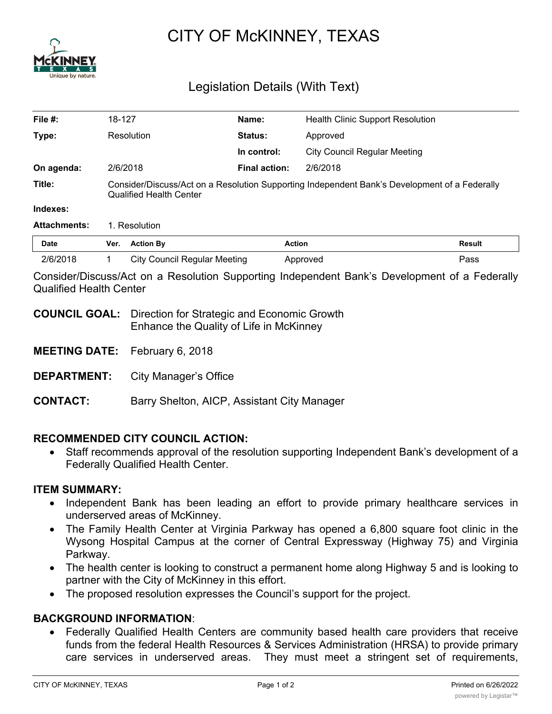

# CITY OF McKINNEY, TEXAS

# Legislation Details (With Text)

| File #:             | 18-127                                                                                                                          |                                     | Name:          | <b>Health Clinic Support Resolution</b> |               |
|---------------------|---------------------------------------------------------------------------------------------------------------------------------|-------------------------------------|----------------|-----------------------------------------|---------------|
| Type:               |                                                                                                                                 | Resolution                          | <b>Status:</b> | Approved                                |               |
|                     |                                                                                                                                 |                                     | In control:    | <b>City Council Regular Meeting</b>     |               |
| On agenda:          |                                                                                                                                 | 2/6/2018                            | Final action:  | 2/6/2018                                |               |
| Title:              | Consider/Discuss/Act on a Resolution Supporting Independent Bank's Development of a Federally<br><b>Qualified Health Center</b> |                                     |                |                                         |               |
| Indexes:            |                                                                                                                                 |                                     |                |                                         |               |
| <b>Attachments:</b> | 1. Resolution                                                                                                                   |                                     |                |                                         |               |
| <b>Date</b>         | Ver.                                                                                                                            | <b>Action By</b>                    |                | <b>Action</b>                           | <b>Result</b> |
| 2/6/2018            |                                                                                                                                 | <b>City Council Regular Meeting</b> |                | Approved                                | Pass          |

Consider/Discuss/Act on a Resolution Supporting Independent Bank's Development of a Federally Qualified Health Center

- **COUNCIL GOAL:** Direction for Strategic and Economic Growth Enhance the Quality of Life in McKinney
- **MEETING DATE:** February 6, 2018
- **DEPARTMENT:** City Manager's Office
- **CONTACT:** Barry Shelton, AICP, Assistant City Manager

## **RECOMMENDED CITY COUNCIL ACTION:**

· Staff recommends approval of the resolution supporting Independent Bank's development of a Federally Qualified Health Center.

#### **ITEM SUMMARY:**

- · Independent Bank has been leading an effort to provide primary healthcare services in underserved areas of McKinney.
- · The Family Health Center at Virginia Parkway has opened a 6,800 square foot clinic in the Wysong Hospital Campus at the corner of Central Expressway (Highway 75) and Virginia Parkway.
- The health center is looking to construct a permanent home along Highway 5 and is looking to partner with the City of McKinney in this effort.
- · The proposed resolution expresses the Council's support for the project.

## **BACKGROUND INFORMATION**:

· Federally Qualified Health Centers are community based health care providers that receive funds from the federal Health Resources & Services Administration (HRSA) to provide primary care services in underserved areas. They must meet a stringent set of requirements,